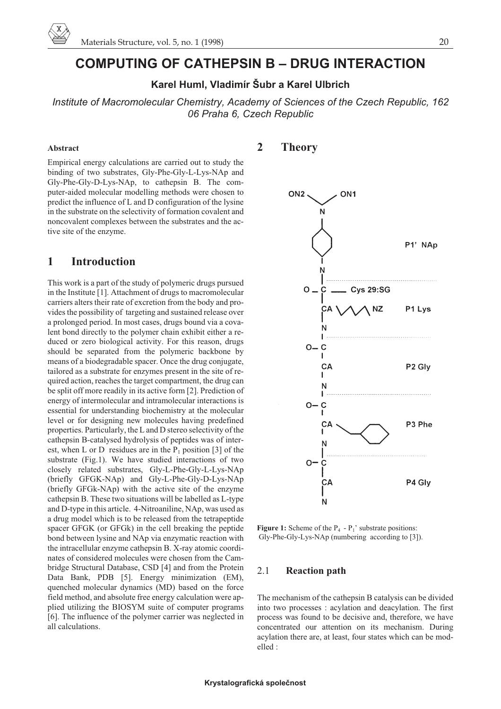# **COMPUTING OF CATHEPSIN B – DRUG INTERACTION**

# **Karel Huml, Vladimír Šubr a Karel Ulbrich**

*Institute of Macromolecular Chemistry, Academy of Sciences of the Czech Republic, 162 06 Praha 6, Czech Republic*

#### **Abstract**

Empirical energy calculations are carried out to study the binding of two substrates, Gly-Phe-Gly-L-Lys-NAp and Gly-Phe-Gly-D-Lys-NAp, to cathepsin B. The computer-aided molecular modelling methods were chosen to predict the influence of L and D configuration of the lysine in the substrate on the selectivity of formation covalent and noncovalent complexes between the substrates and the active site of the enzyme.

### **1 Introduction**

This work is a part of the study of polymeric drugs pursued in the Institute [1]. Attachment of drugs to macromolecular carriers alters their rate of excretion from the body and provides the possibility of targeting and sustained release over a prolonged period. In most cases, drugs bound via a covalent bond directly to the polymer chain exhibit either a reduced or zero biological activity. For this reason, drugs should be separated from the polymeric backbone by means of a biodegradable spacer. Once the drug conjugate, tailored as a substrate for enzymes present in the site of required action, reaches the target compartment, the drug can be split off more readily in its active form [2]. Prediction of energy of intermolecular and intramolecular interactions is essential for understanding biochemistry at the molecular level or for designing new molecules having predefined properties. Particularly, the L and D stereo selectivity of the cathepsin B-catalysed hydrolysis of peptides was of interest, when L or D residues are in the  $P_1$  position [3] of the substrate (Fig.1). We have studied interactions of two closely related substrates, Gly-L-Phe-Gly-L-Lys-NAp (briefly GFGK-NAp) and Gly-L-Phe-Gly-D-Lys-NAp (briefly GFGk-NAp) with the active site of the enzyme cathepsin B. These two situations will be labelled as L-type and D-type in this article. 4-Nitroaniline, NAp, was used as a drug model which is to be released from the tetrapeptide spacer GFGK (or GFGk) in the cell breaking the peptide bond between lysine and NAp via enzymatic reaction with the intracellular enzyme cathepsin B. X-ray atomic coordinates of considered molecules were chosen from the Cambridge Structural Database, CSD [4] and from the Protein Data Bank, PDB [5]. Energy minimization (EM), quenched molecular dynamics (MD) based on the force field method, and absolute free energy calculation were applied utilizing the BIOSYM suite of computer programs [6]. The influence of the polymer carrier was neglected in all calculations.

## **2 Theory**



**Figure 1:** Scheme of the  $P_4$  -  $P_1$ ' substrate positions: Gly-Phe-Gly-Lys-NAp (numbering according to [3]).

### 2.1 **Reaction path**

The mechanism of the cathepsin B catalysis can be divided into two processes : acylation and deacylation. The first process was found to be decisive and, therefore, we have concentrated our attention on its mechanism. During acylation there are, at least, four states which can be modelled :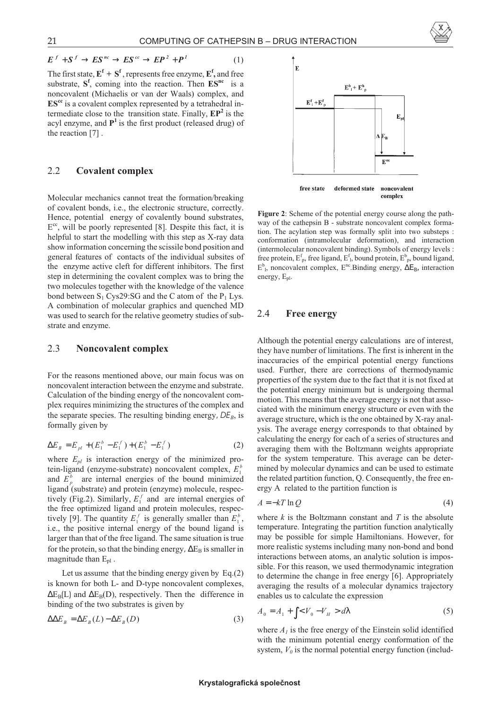

$$
E^{f} + S^{f} \to ES^{nc} \to ES^{cc} \to EP^{2} + P^{1}
$$
 (1)

The first state,  $E^f + S^f$ , represents free enzyme,  $E^f$ , and free substrate,  $S^f$ , coming into the reaction. Then  $ES^{nc}$  is a noncovalent (Michaelis or van der Waals) complex, and **EScc** is a covalent complex represented by a tetrahedral intermediate close to the transition state. Finally,  $\mathbf{E}\mathbf{P}^2$  is the acyl enzyme, and  $P<sup>1</sup>$  is the first product (released drug) of the reaction [7] .

### 2.2 **Covalent complex**

Molecular mechanics cannot treat the formation/breaking of covalent bonds, i.e., the electronic structure, correctly. Hence, potential energy of covalently bound substrates,  $E^{cc}$ , will be poorly represented [8]. Despite this fact, it is helpful to start the modelling with this step as X-ray data show information concerning the scissile bond position and general features of contacts of the individual subsites of the enzyme active cleft for different inhibitors. The first step in determining the covalent complex was to bring the two molecules together with the knowledge of the valence bond between  $S_1$  Cys29:SG and the C atom of the  $P_1$  Lys. A combination of molecular graphics and quenched MD was used to search for the relative geometry studies of substrate and enzyme.

### 2.3 **Noncovalent complex**

For the reasons mentioned above, our main focus was on noncovalent interaction between the enzyme and substrate. Calculation of the binding energy of the noncovalent complex requires minimizing the structures of the complex and the separate species. The resulting binding energy,  $DE_B$ , is formally given by

$$
\Delta E_B = E_{pl} + (E_1^b - E_1^f) + (E_1^b - E_1^f) \tag{2}
$$

where  $E_{pl}$  is interaction energy of the minimized protein-ligand (enzyme-substrate) noncovalent complex, *E<sup>b</sup>* 1 and  $E_p^b$  are internal energies of the bound minimized ligand (substrate) and protein (enzyme) molecule, respectively (Fig.2). Similarly,  $E_1^f$  and are internal energies of the free optimized ligand and protein molecules, respectively [9]. The quantity  $E_1^f$  is generally smaller than  $E_1^b$ , i.e., the positive internal energy of the bound ligand is larger than that of the free ligand. The same situation is true for the protein, so that the binding energy,  $\Delta E_B$  is smaller in magnitude than  $E_{\text{pl}}$ .

Let us assume that the binding energy given by Eq.(2) is known for both L- and D-type noncovalent complexes,  $\Delta E_B(L)$  and  $\Delta E_B(D)$ , respectively. Then the difference in binding of the two substrates is given by

$$
\Delta \Delta E_B = \Delta E_B(L) - \Delta E_B(D) \tag{3}
$$



**Figure 2**: Scheme of the potential energy course along the pathway of the cathepsin B - substrate noncovalent complex formation. The acylation step was formally split into two substeps : conformation (intramolecular deformation), and interaction (intermolecular noncovalent binding). Symbols of energy levels : free protein,  $E_{p}^{f}$ , free ligand,  $E_{1}^{f}$ , bound protein,  $E_{p}^{b}$ , bound ligand,  $E^b$ <sub>1</sub>, noncovalent complex,  $E^{nc}$ .Binding energy,  $\Delta E_B$ , interaction energy,  $E_{nl}$ .

#### 2.4 **Free energy**

Although the potential energy calculations are of interest, they have number of limitations. The first is inherent in the inaccuracies of the empirical potential energy functions used. Further, there are corrections of thermodynamic properties of the system due to the fact that it is not fixed at the potential energy minimum but is undergoing thermal motion. This means that the average energy is not that associated with the minimum energy structure or even with the average structure, which is the one obtained by X-ray analysis. The average energy corresponds to that obtained by calculating the energy for each of a series of structures and averaging them with the Boltzmann weights appropriate for the system temperature. This average can be determined by molecular dynamics and can be used to estimate the related partition function, Q. Consequently, the free energy A related to the partition function is

$$
A = -kT \ln Q \tag{4}
$$

where  $k$  is the Boltzmann constant and  $T$  is the absolute temperature. Integrating the partition function analytically may be possible for simple Hamiltonians. However, for more realistic systems including many non-bond and bond interactions between atoms, an analytic solution is impossible. For this reason, we used thermodynamic integration to determine the change in free energy [6]. Appropriately averaging the results of a molecular dynamics trajectory enables us to calculate the expression

$$
A_0 = A_1 + \int \langle V_0 - V_H \rangle \, d\lambda \tag{5}
$$

where  $A<sub>l</sub>$  is the free energy of the Einstein solid identified with the minimum potential energy conformation of the system,  $V<sub>0</sub>$  is the normal potential energy function (includ-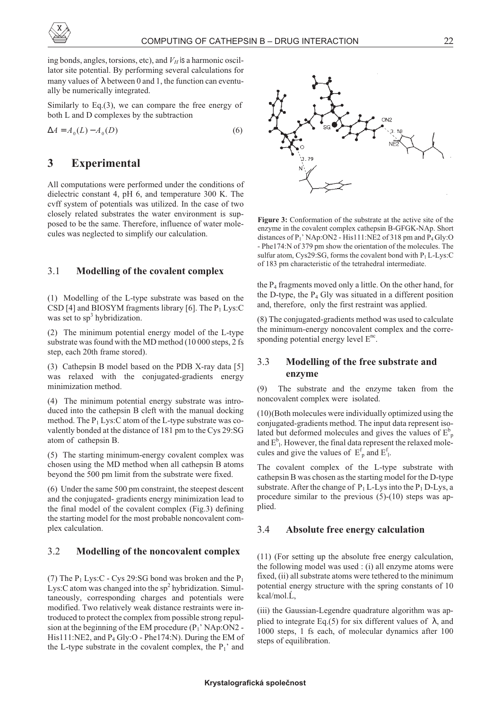

ing bonds, angles, torsions, etc), and  $V_H$  is a harmonic oscillator site potential. By performing several calculations for many values of  $\lambda$  between 0 and 1, the function can eventually be numerically integrated.

Similarly to Eq.(3), we can compare the free energy of both L and D complexes by the subtraction

$$
\Delta A = A_0(L) - A_0(D) \tag{6}
$$

# **3 Experimental**

All computations were performed under the conditions of dielectric constant 4, pH 6, and temperature 300 K. The cvff system of potentials was utilized. In the case of two closely related substrates the water environment is supposed to be the same. Therefore, influence of water molecules was neglected to simplify our calculation.

### 3.1 **Modelling of the covalent complex**

(1) Modelling of the L-type substrate was based on the CSD [4] and BIOSYM fragments library [6]. The  $P_1$  Lys:C was set to  $sp<sup>3</sup>$  hybridization.

(2) The minimum potential energy model of the L-type substrate was found with the MD method (10 000 steps, 2 fs step, each 20th frame stored).

(3) Cathepsin B model based on the PDB X-ray data [5] was relaxed with the conjugated-gradients energy minimization method.

(4) The minimum potential energy substrate was introduced into the cathepsin B cleft with the manual docking method. The  $P_1$  Lys: C atom of the L-type substrate was covalently bonded at the distance of 181 pm to the Cys 29:SG atom of cathepsin B.

(5) The starting minimum-energy covalent complex was chosen using the MD method when all cathepsin B atoms beyond the 500 pm limit from the substrate were fixed.

(6) Under the same 500 pm constraint, the steepest descent and the conjugated- gradients energy minimization lead to the final model of the covalent complex (Fig.3) defining the starting model for the most probable noncovalent complex calculation.

### 3.2 **Modelling of the noncovalent complex**

(7) The  $P_1$  Lys:C - Cys 29:SG bond was broken and the  $P_1$ Lys: C atom was changed into the  $sp^2$  hybridization. Simultaneously, corresponding charges and potentials were modified. Two relatively weak distance restraints were introduced to protect the complex from possible strong repulsion at the beginning of the EM procedure (P<sub>1</sub>' NAp:ON2 -His111:NE2, and P4 Gly:O - Phe174:N). During the EM of the L-type substrate in the covalent complex, the  $P_1$ ' and



**Figure 3:** Conformation of the substrate at the active site of the enzyme in the covalent complex cathepsin B-GFGK-NAp. Short distances of  $P_1$ ' NAp:ON2 - His111:NE2 of 318 pm and  $P_4$  Gly:O - Phe174:N of 379 pm show the orientation of the molecules. The sulfur atom, Cys29:SG, forms the covalent bond with  $P_1 L$ -Lys:C of 183 pm characteristic of the tetrahedral intermediate.

the  $P_4$  fragments moved only a little. On the other hand, for the D-type, the  $P_4$  Gly was situated in a different position and, therefore, only the first restraint was applied.

(8) The conjugated-gradients method was used to calculate the minimum-energy noncovalent complex and the corresponding potential energy level  $E^{nc}$ .

### 3.3 **Modelling of the free substrate and enzyme**

(9) The substrate and the enzyme taken from the noncovalent complex were isolated.

(10)(Both molecules were individually optimized using the conjugated-gradients method. The input data represent isolated but deformed molecules and gives the values of  $E_p^b$ and  $E^b$ <sub>1</sub>. However, the final data represent the relaxed molecules and give the values of  $E_p^f$  and  $E_1^f$ .

The covalent complex of the L-type substrate with cathepsin B was chosen as the starting model for the D-type substrate. After the change of  $P_1$  L-Lys into the  $P_1$  D-Lys, a procedure similar to the previous (5)-(10) steps was applied.

#### 3.4 **Absolute free energy calculation**

(11) (For setting up the absolute free energy calculation, the following model was used : (i) all enzyme atoms were fixed, (ii) all substrate atoms were tethered to the minimum potential energy structure with the spring constants of 10  $kcal/mol$ ,  $\acute{L}$ ,

(iii) the Gaussian-Legendre quadrature algorithm was applied to integrate Eq.(5) for six different values of  $\lambda$ , and 1000 steps, 1 fs each, of molecular dynamics after 100 steps of equilibration.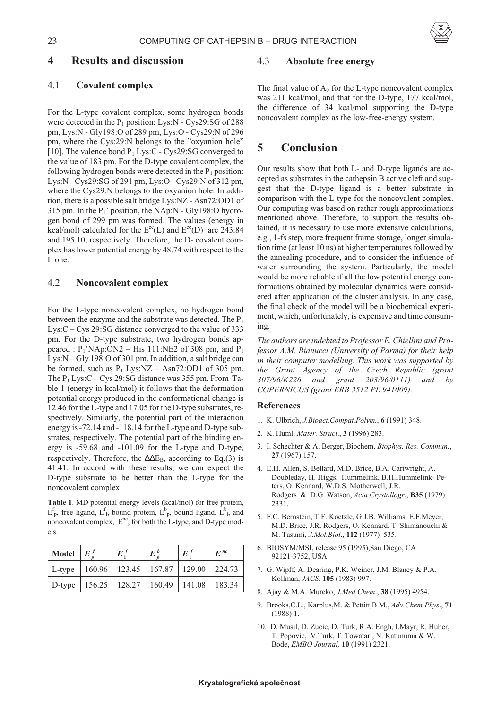### **4 Results and discussion**

#### 4.1 **Covalent complex**

For the L-type covalent complex, some hydrogen bonds were detected in the  $P_1$  position: Lys:N - Cys29:SG of 288 pm, Lys:N - Gly198:O of 289 pm, Lys:O - Cys29:N of 296 pm, where the Cys:29:N belongs to the "oxyanion hole" [10]. The valence bond  $P_1$  Lys:C - Cys29:SG converged to the value of 183 pm. For the D-type covalent complex, the following hydrogen bonds were detected in the  $P_1$  position: Lys:N - Cys29:SG of 291 pm, Lys:O - Cys29:N of 312 pm, where the Cys29:N belongs to the oxyanion hole. In addition, there is a possible salt bridge Lys:NZ - Asn72:OD1 of 315 pm. In the  $P_1$ ' position, the NAp:N - Gly198:O hydrogen bond of 299 pm was formed. The values (energy in kcal/mol) calculated for the  $E^{cc}(L)$  and  $E^{cc}(D)$  are 243.84 and 195.10, respectively. Therefore, the D- covalent complex has lower potential energy by 48.74 with respect to the L one.

### 4.2 **Noncovalent complex**

For the L-type noncovalent complex, no hydrogen bond between the enzyme and the substrate was detected. The  $P_1$ Lys:C – Cys 29:SG distance converged to the value of 333 pm. For the D-type substrate, two hydrogen bonds appeared :  $P_1' NAp:ON2 - His 111:NE2 of 308 pm, and P_1$ Lys:N – Gly 198:O of 301 pm. In addition, a salt bridge can be formed, such as  $P_1$  Lys:NZ – Asn72:OD1 of 305 pm. The  $P_1$  Lys:C – Cys 29:SG distance was 355 pm. From Table 1 (energy in kcal/mol) it follows that the deformation potential energy produced in the conformational change is 12.46 for the L-type and 17.05 for the D-type substrates, respectively. Similarly, the potential part of the interaction energy is -72.14 and -118.14 for the L-type and D-type substrates, respectively. The potential part of the binding energy is -59.68 and -101.09 for the L-type and D-type, respectively. Therefore, the  $\Delta\Delta E_B$ , according to Eq.(3) is 41.41. In accord with these results, we can expect the D-type substrate to be better than the L-type for the noncovalent complex.

**Table 1**. MD potential energy levels (kcal/mol) for free protein,  $E_p^f$ , free ligand,  $E_l^f$ , bound protein,  $E_p^b$ , bound ligand,  $E_p^b$ , and noncovalent complex,  $E^{nc}$ , for both the L-type, and D-type models.

| Model  | $E^f$                                               | $E^f_1$ | $E^b$ | $E^f$ | $E^{nc}$ |
|--------|-----------------------------------------------------|---------|-------|-------|----------|
| L-type | 160.96   123.45   167.87   129.00   224.73          |         |       |       |          |
|        | D-type   156.25   128.27   160.49   141.08   183.34 |         |       |       |          |

#### 4.3 **Absolute free energy**

The final value of  $A_0$  for the L-type noncovalent complex was 211 kcal/mol, and that for the D-type, 177 kcal/mol, the difference of 34 kcal/mol supporting the D-type noncovalent complex as the low-free-energy system.

### **5 Conclusion**

Our results show that both L- and D-type ligands are accepted as substrates in the cathepsin B active cleft and suggest that the D-type ligand is a better substrate in comparison with the L-type for the noncovalent complex. Our computing was based on rather rough approximations mentioned above. Therefore, to support the results obtained, it is necessary to use more extensive calculations, e.g., 1-fs step, more frequent frame storage, longer simulation time (at least 10 ns) at higher temperatures followed by the annealing procedure, and to consider the influence of water surrounding the system. Particularly, the model would be more reliable if all the low potential energy conformations obtained by molecular dynamics were considered after application of the cluster analysis. In any case, the final check of the model will be a biochemical experiment, which, unfortunately, is expensive and time consuming.

*The authors are indebted to Professor E. Chiellini and Professor A.M. Bianucci (University of Parma) for their help in their computer modelling. This work was supported by the Grant Agency of the Czech Republic (grant 307/96/K226 and grant 203/96/0111) and by COPERNICUS (grant ERB 3512 PL 941009).*

#### **References**

- 1. K. Ulbrich, *J.Bioact.Compat.Polym.*, **6** (1991) 348.
- 2. K. Huml, *Mater. Struct*., **3** (1996) 283.
- 3. I. Schechter & A. Berger, Biochem. *Biophys. Res. Commun.*, **27** (1967) 157.
- 4. E.H. Allen, S. Bellard, M.D. Brice, B.A. Cartwright, A. Doubleday, H. Higgs, Hummelink, B.H.Hummelink- Peters, O. Kennard, W.D.S. Motherwell, J.R. Rodgers & D.G. Watson, *Acta Crystallogr*., **B35** (1979) 2331.
- 5. F.C. Bernstein, T.F. Koetzle, G.J.B. Williams, E.F.Meyer, M.D. Brice, J.R. Rodgers, O. Kennard, T. Shimanouchi & M. Tasumi, *J.Mol.Biol*., **112** (1977) 535.
- 6. BIOSYM/MSI, release 95 (1995),San Diego, CA 92121-3752, USA.
- 7. G. Wipff, A. Dearing, P.K. Weiner, J.M. Blaney & P.A. Kollman, *JACS*, **105** (1983) 997.
- 8. Ajay & M.A. Murcko, *J.Med.Chem*., **38** (1995) 4954.
- 9. Brooks,C.L., Karplus,M. & Pettitt,B.M., *Adv.Chem.Phys*., **71** (1988) 1.
- 10. D. Musil, D. Zucic, D. Turk, R.A. Engh, I.Mayr, R. Huber, T. Popovic, V.Turk, T. Towatari, N. Katunuma & W. Bode, *EMBO Journal,* **10** (1991) 2321.